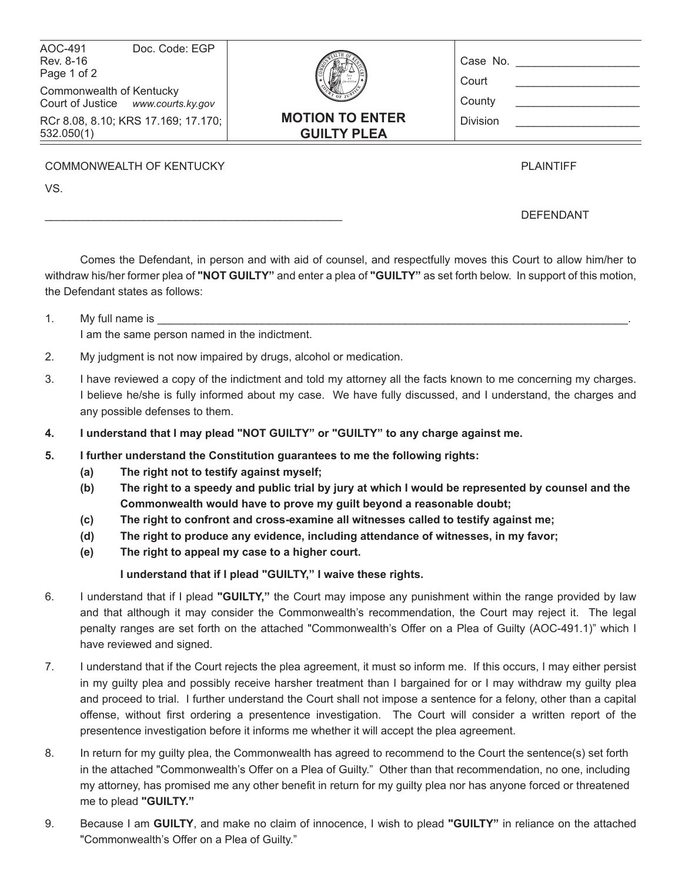| <b>GUILTY PLEA</b><br>532.050(1)<br>COMMONWEALTH OF KENTUCKY   |                |                        | <b>PLAINTIFF</b>  |
|----------------------------------------------------------------|----------------|------------------------|-------------------|
| RCr 8.08, 8.10; KRS 17.169; 17.170;                            |                | <b>MOTION TO ENTER</b> | <b>Division</b>   |
| Commonwealth of Kentucky<br>Court of Justice www.courts.ky.gov |                |                        | County            |
| AOC-491<br>Rev. 8-16<br>Page 1 of 2                            | Doc. Code: EGP |                        | Case No.<br>Court |

\_\_\_\_\_\_\_\_\_\_\_\_\_\_\_\_\_\_\_\_\_\_\_\_\_\_\_\_\_\_\_\_\_\_\_\_\_\_\_\_\_\_\_\_\_\_\_\_ DEFENDANT

Comes the Defendant, in person and with aid of counsel, and respectfully moves this Court to allow him/her to withdraw his/her former plea of **"NOT GUILTY"** and enter a plea of **"GUILTY"** as set forth below. In support of this motion, the Defendant states as follows:

1. My full name is I am the same person named in the indictment.

VS.

- 2. My judgment is not now impaired by drugs, alcohol or medication.
- 3. I have reviewed a copy of the indictment and told my attorney all the facts known to me concerning my charges. I believe he/she is fully informed about my case. We have fully discussed, and I understand, the charges and any possible defenses to them.
- **4. I understand that I may plead "NOT GUILTY" or "GUILTY" to any charge against me.**
- **5. I further understand the Constitution guarantees to me the following rights:**
	- **(a) The right not to testify against myself;**
	- **(b) The right to a speedy and public trial by jury at which I would be represented by counsel and the Commonwealth would have to prove my guilt beyond a reasonable doubt;**
	- **(c) The right to confront and cross-examine all witnesses called to testify against me;**
	- **(d) The right to produce any evidence, including attendance of witnesses, in my favor;**
	- **(e) The right to appeal my case to a higher court.**

 **I understand that if I plead "GUILTY," I waive these rights.**

- 6. I understand that if I plead **"GUILTY,"** the Court may impose any punishment within the range provided by law and that although it may consider the Commonwealth's recommendation, the Court may reject it. The legal penalty ranges are set forth on the attached "Commonwealth's Offer on a Plea of Guilty (AOC-491.1)" which I have reviewed and signed.
- 7. I understand that if the Court rejects the plea agreement, it must so inform me. If this occurs, I may either persist in my guilty plea and possibly receive harsher treatment than I bargained for or I may withdraw my guilty plea and proceed to trial. I further understand the Court shall not impose a sentence for a felony, other than a capital offense, without first ordering a presentence investigation. The Court will consider a written report of the presentence investigation before it informs me whether it will accept the plea agreement.
- 8. In return for my guilty plea, the Commonwealth has agreed to recommend to the Court the sentence(s) set forth in the attached "Commonwealth's Offer on a Plea of Guilty." Other than that recommendation, no one, including my attorney, has promised me any other benefit in return for my guilty plea nor has anyone forced or threatened me to plead **"GUILTY."**
- 9. Because I am **GUILTY**, and make no claim of innocence, I wish to plead **"GUILTY"** in reliance on the attached "Commonwealth's Offer on a Plea of Guilty."